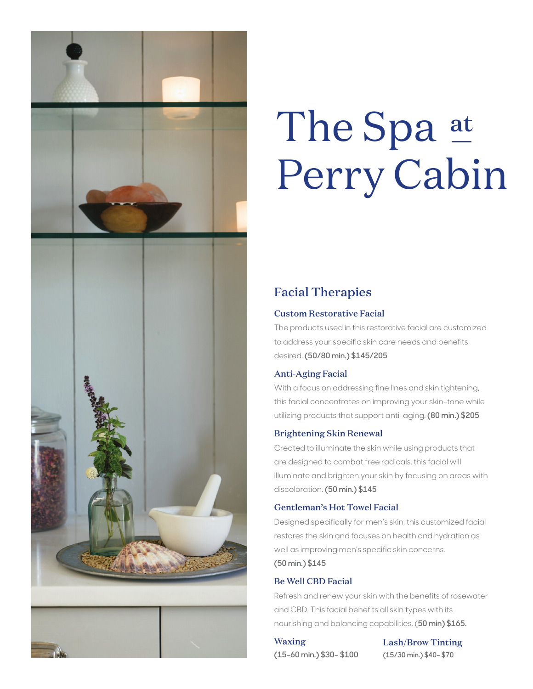

# The Spa at Perry Cabin

# Facial Therapies

# Custom Restorative Facial

The products used in this restorative facial are customized to address your specific skin care needs and benefits desired. **(50/80 min.) \$145/205**

# Anti-Aging Facial

With a focus on addressing fine lines and skin tightening, this facial concentrates on improving your skin-tone while utilizing products that support anti-aging. **(80 min.) \$205**

## Brightening Skin Renewal

Created to illuminate the skin while using products that are designed to combat free radicals, this facial will illuminate and brighten your skin by focusing on areas with discoloration. **(50 min.) \$145**

## Gentleman's Hot Towel Facial

Designed specifically for men's skin, this customized facial restores the skin and focuses on health and hydration as well as improving men's specific skin concerns. **(50 min.) \$145**

## Be Well CBD Facial

Refresh and renew your skin with the benefits of rosewater and CBD. This facial benefits all skin types with its nourishing and balancing capabilities. (**50 min) \$165.**

# Waxing

Lash/Brow Tinting **(15/30 min.) \$40– \$70**

**(15–60 min.) \$30– \$100**